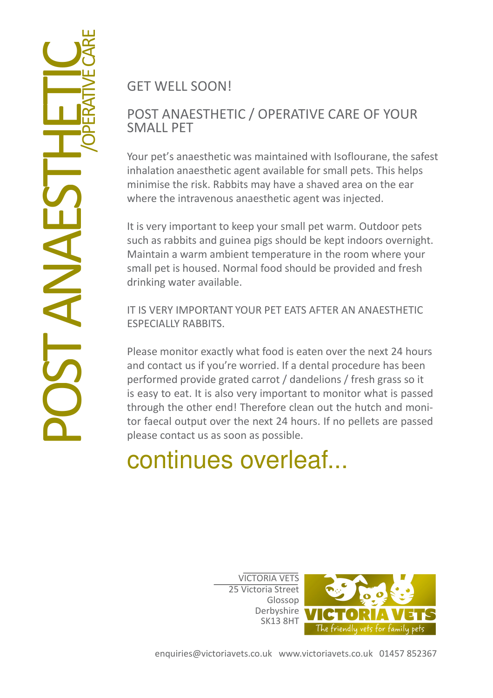GET WELL SOON!

## POST ANAESTHETIC / OPERATIVE CARE OF YOUR SMALL PET

Your pet's anaesthetic was maintained with Isoflourane, the safest inhalation anaesthetic agent available for small pets. This helps minimise the risk. Rabbits may have a shaved area on the ear where the intravenous anaesthetic agent was injected.

It is very important to keep your small pet warm. Outdoor pets such as rabbits and guinea pigs should be kept indoors overnight. Maintain a warm ambient temperature in the room where your small pet is housed. Normal food should be provided and fresh drinking water available.

IT IS VERY IMPORTANT YOUR PET EATS AFTER AN ANAESTHETIC ESPECIALLY RABBITS.

Please monitor exactly what food is eaten over the next 24 hours and contact us if you're worried. If a dental procedure has been performed provide grated carrot / dandelions / fresh grass so it is easy to eat. It is also very important to monitor what is passed through the other end! Therefore clean out the hutch and monitor faecal output over the next 24 hours. If no pellets are passed please contact us as soon as possible.

## continues overleaf...

VICTORIA VETS 25 Victoria Street Glossop Derbyshire SK13 8HT